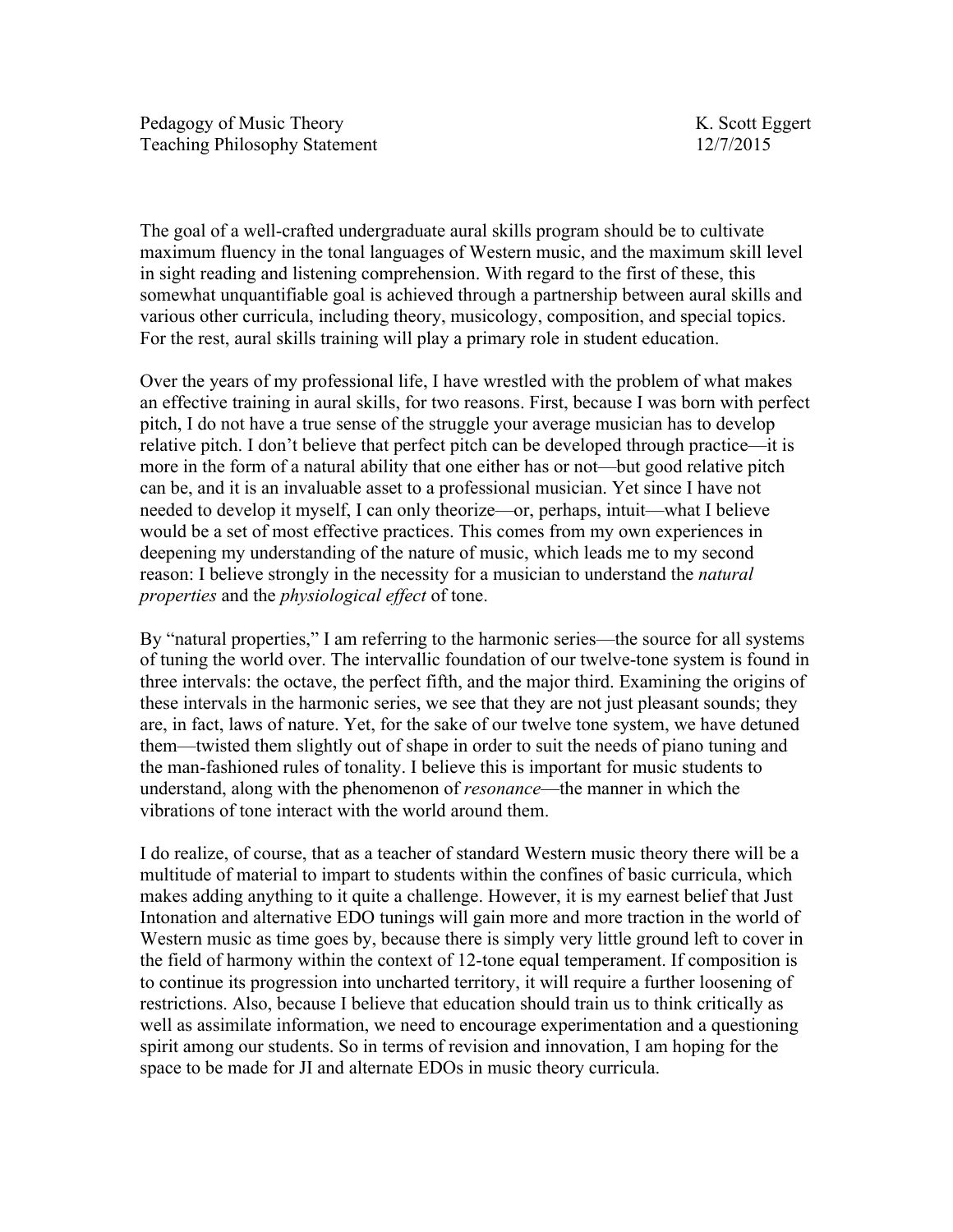The goal of a well-crafted undergraduate aural skills program should be to cultivate maximum fluency in the tonal languages of Western music, and the maximum skill level in sight reading and listening comprehension. With regard to the first of these, this somewhat unquantifiable goal is achieved through a partnership between aural skills and various other curricula, including theory, musicology, composition, and special topics. For the rest, aural skills training will play a primary role in student education.

Over the years of my professional life, I have wrestled with the problem of what makes an effective training in aural skills, for two reasons. First, because I was born with perfect pitch, I do not have a true sense of the struggle your average musician has to develop relative pitch. I don't believe that perfect pitch can be developed through practice—it is more in the form of a natural ability that one either has or not—but good relative pitch can be, and it is an invaluable asset to a professional musician. Yet since I have not needed to develop it myself, I can only theorize—or, perhaps, intuit—what I believe would be a set of most effective practices. This comes from my own experiences in deepening my understanding of the nature of music, which leads me to my second reason: I believe strongly in the necessity for a musician to understand the *natural properties* and the *physiological effect* of tone.

By "natural properties," I am referring to the harmonic series—the source for all systems of tuning the world over. The intervallic foundation of our twelve-tone system is found in three intervals: the octave, the perfect fifth, and the major third. Examining the origins of these intervals in the harmonic series, we see that they are not just pleasant sounds; they are, in fact, laws of nature. Yet, for the sake of our twelve tone system, we have detuned them—twisted them slightly out of shape in order to suit the needs of piano tuning and the man-fashioned rules of tonality. I believe this is important for music students to understand, along with the phenomenon of *resonance*—the manner in which the vibrations of tone interact with the world around them.

I do realize, of course, that as a teacher of standard Western music theory there will be a multitude of material to impart to students within the confines of basic curricula, which makes adding anything to it quite a challenge. However, it is my earnest belief that Just Intonation and alternative EDO tunings will gain more and more traction in the world of Western music as time goes by, because there is simply very little ground left to cover in the field of harmony within the context of 12-tone equal temperament. If composition is to continue its progression into uncharted territory, it will require a further loosening of restrictions. Also, because I believe that education should train us to think critically as well as assimilate information, we need to encourage experimentation and a questioning spirit among our students. So in terms of revision and innovation, I am hoping for the space to be made for JI and alternate EDOs in music theory curricula.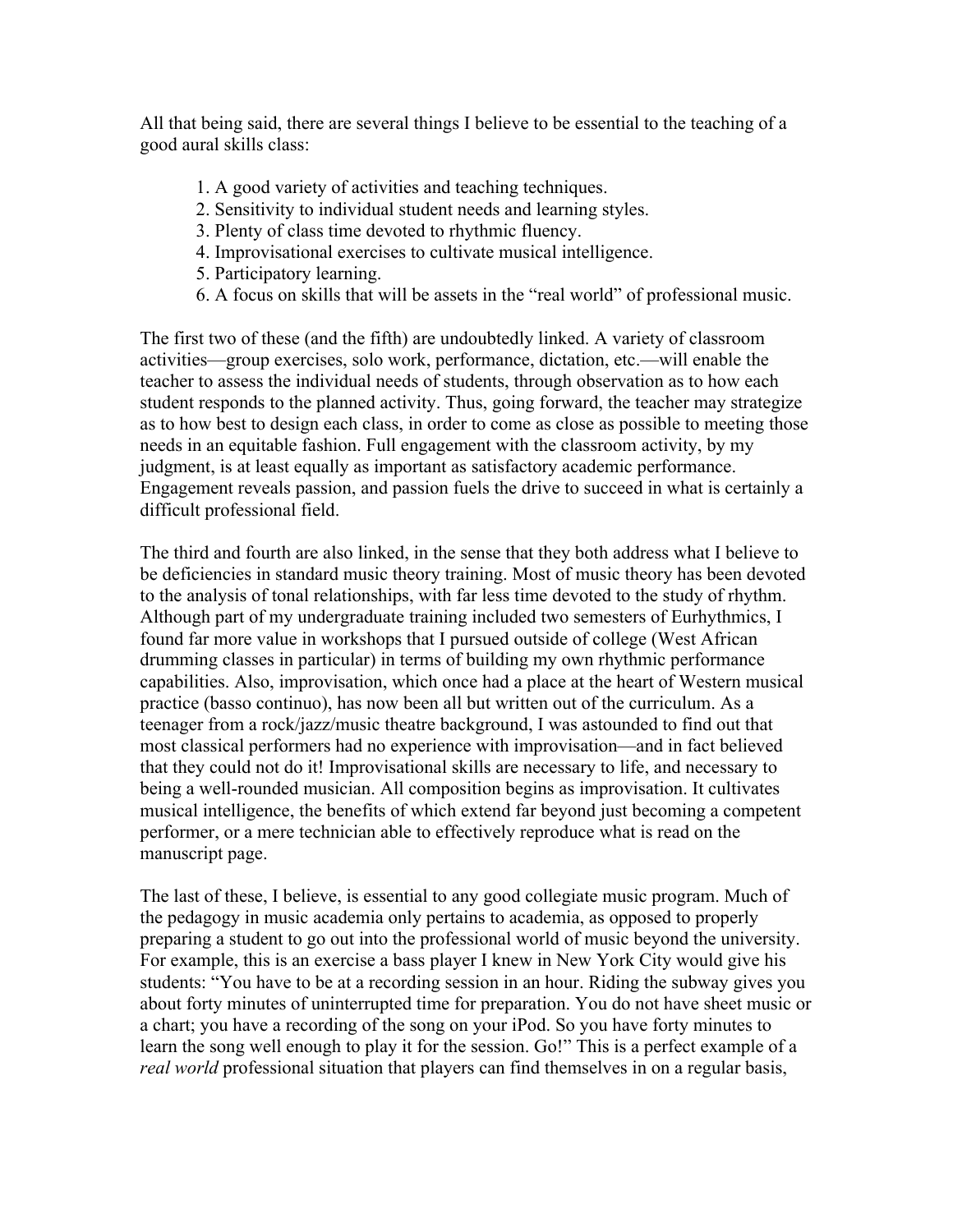All that being said, there are several things I believe to be essential to the teaching of a good aural skills class:

- 1. A good variety of activities and teaching techniques.
- 2. Sensitivity to individual student needs and learning styles.
- 3. Plenty of class time devoted to rhythmic fluency.
- 4. Improvisational exercises to cultivate musical intelligence.
- 5. Participatory learning.
- 6. A focus on skills that will be assets in the "real world" of professional music.

The first two of these (and the fifth) are undoubtedly linked. A variety of classroom activities—group exercises, solo work, performance, dictation, etc.—will enable the teacher to assess the individual needs of students, through observation as to how each student responds to the planned activity. Thus, going forward, the teacher may strategize as to how best to design each class, in order to come as close as possible to meeting those needs in an equitable fashion. Full engagement with the classroom activity, by my judgment, is at least equally as important as satisfactory academic performance. Engagement reveals passion, and passion fuels the drive to succeed in what is certainly a difficult professional field.

The third and fourth are also linked, in the sense that they both address what I believe to be deficiencies in standard music theory training. Most of music theory has been devoted to the analysis of tonal relationships, with far less time devoted to the study of rhythm. Although part of my undergraduate training included two semesters of Eurhythmics, I found far more value in workshops that I pursued outside of college (West African drumming classes in particular) in terms of building my own rhythmic performance capabilities. Also, improvisation, which once had a place at the heart of Western musical practice (basso continuo), has now been all but written out of the curriculum. As a teenager from a rock/jazz/music theatre background, I was astounded to find out that most classical performers had no experience with improvisation—and in fact believed that they could not do it! Improvisational skills are necessary to life, and necessary to being a well-rounded musician. All composition begins as improvisation. It cultivates musical intelligence, the benefits of which extend far beyond just becoming a competent performer, or a mere technician able to effectively reproduce what is read on the manuscript page.

The last of these, I believe, is essential to any good collegiate music program. Much of the pedagogy in music academia only pertains to academia, as opposed to properly preparing a student to go out into the professional world of music beyond the university. For example, this is an exercise a bass player I knew in New York City would give his students: "You have to be at a recording session in an hour. Riding the subway gives you about forty minutes of uninterrupted time for preparation. You do not have sheet music or a chart; you have a recording of the song on your iPod. So you have forty minutes to learn the song well enough to play it for the session. Go!" This is a perfect example of a *real world* professional situation that players can find themselves in on a regular basis,